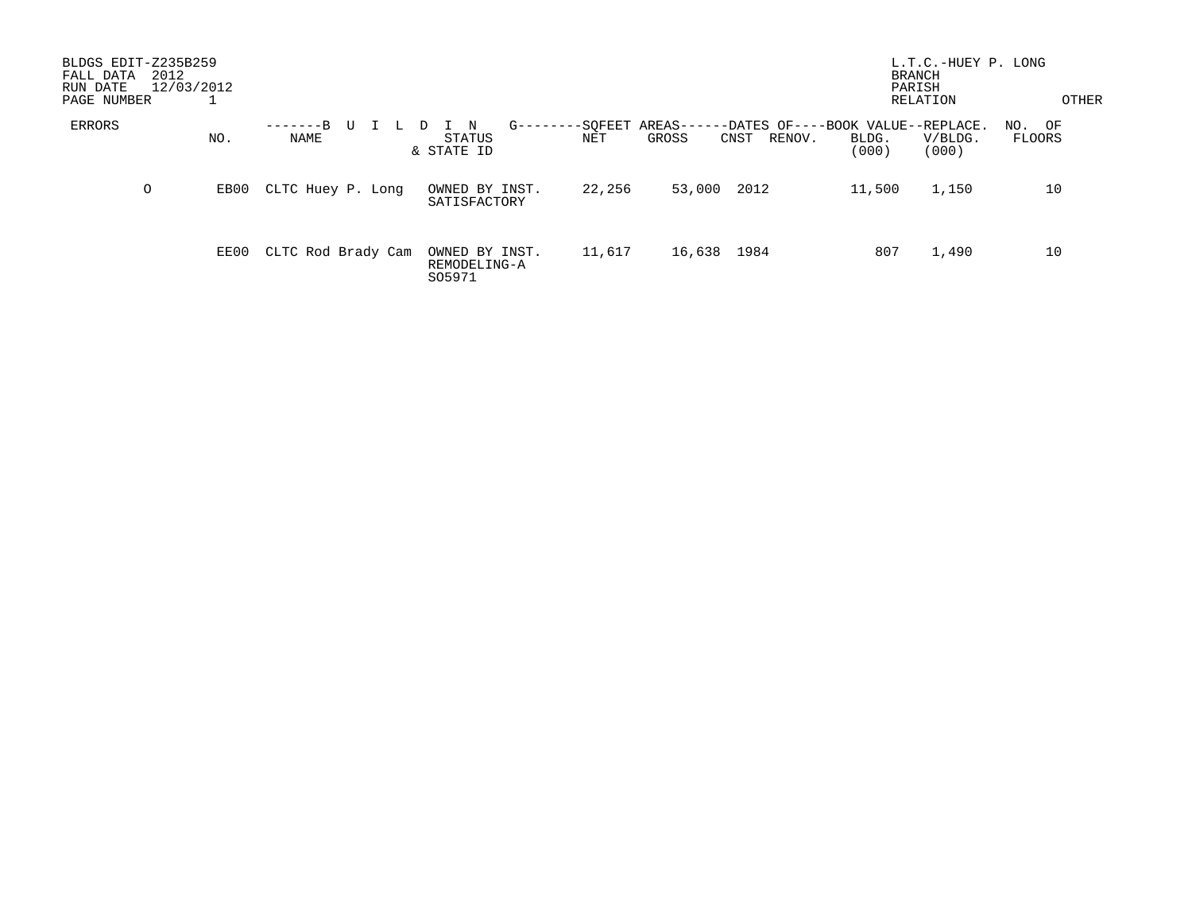| BLDGS EDIT-Z235B259<br>FALL DATA<br>RUN DATE<br>PAGE NUMBER | 2012<br>12/03/2012 |      |                                      |                                          |                |                                                                        | <b>BRANCH</b><br>PARISH | L.T.C.-HUEY P. LONG<br>RELATION | OTHER            |
|-------------------------------------------------------------|--------------------|------|--------------------------------------|------------------------------------------|----------------|------------------------------------------------------------------------|-------------------------|---------------------------------|------------------|
| ERRORS                                                      |                    | NO.  | $-R$<br>U<br>$- - - - - - -$<br>NAME | $G---$<br>N<br>STATUS<br>& STATE ID      | -SQFEET<br>NET | AREAS-<br>-DATES OF----BOOK VALUE--REPLACE.<br>GROSS<br>RENOV.<br>CNST | BLDG.<br>(000)          | V/BLDG.<br>(000)                | NO. OF<br>FLOORS |
|                                                             | O                  | EB00 | CLTC Huey P. Long                    | OWNED BY INST.<br>SATISFACTORY           | 22,256         | 53,000<br>2012                                                         | 11,500                  | 1,150                           | 10               |
|                                                             |                    | EE00 | CLTC Rod Brady Cam                   | OWNED BY INST.<br>REMODELING-A<br>S05971 | 11,617         | 16,638<br>1984                                                         | 807                     | 1,490                           | 10               |